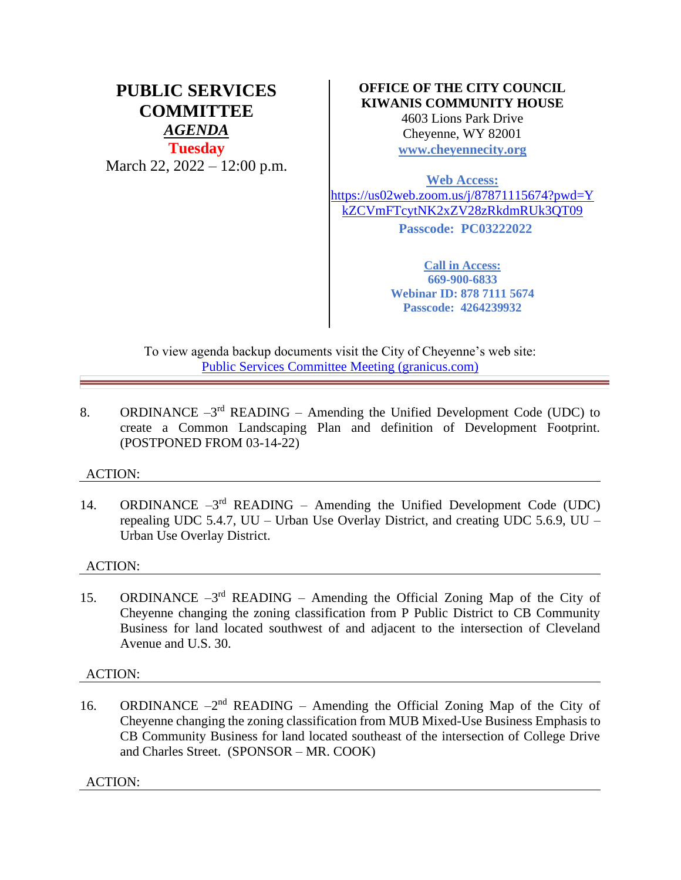# **PUBLIC SERVICES COMMITTEE** *AGENDA* **Tuesday** March 22, 2022 – 12:00 p.m.

## **OFFICE OF THE CITY COUNCIL KIWANIS COMMUNITY HOUSE**

4603 Lions Park Drive Cheyenne, WY 82001 **[www.cheyennecity.org](http://www.cheyennecity.org/)**

**Web Access:** 

[https://us02web.zoom.us/j/87871115674?pwd=Y](https://us02web.zoom.us/j/87871115674?pwd=YkZCVmFTcytNK2xZV28zRkdmRUk3QT09) [kZCVmFTcytNK2xZV28zRkdmRUk3QT09](https://us02web.zoom.us/j/87871115674?pwd=YkZCVmFTcytNK2xZV28zRkdmRUk3QT09) **Passcode: PC03222022**

> **Call in Access: 669-900-6833 Webinar ID: 878 7111 5674 Passcode: 4264239932**

To view agenda backup documents visit the City of Cheyenne's web site: [Public Services Committee Meeting \(granicus.com\)](https://cheyenne.granicus.com/GeneratedAgendaViewer.php?event_id=1059)

8. ORDINANCE  $-3<sup>rd</sup>$  READING – Amending the Unified Development Code (UDC) to create a Common Landscaping Plan and definition of Development Footprint. (POSTPONED FROM 03-14-22)

### ACTION:

14. ORDINANCE  $-3^{rd}$  READING – Amending the Unified Development Code (UDC) repealing UDC 5.4.7, UU – Urban Use Overlay District, and creating UDC 5.6.9, UU – Urban Use Overlay District.

### ACTION:

15. ORDINANCE  $-3^{rd}$  READING – Amending the Official Zoning Map of the City of Cheyenne changing the zoning classification from P Public District to CB Community Business for land located southwest of and adjacent to the intersection of Cleveland Avenue and U.S. 30.

### ACTION:

16. ORDINANCE  $-2<sup>nd</sup>$  READING – Amending the Official Zoning Map of the City of Cheyenne changing the zoning classification from MUB Mixed-Use Business Emphasis to CB Community Business for land located southeast of the intersection of College Drive and Charles Street. (SPONSOR – MR. COOK)

ACTION: